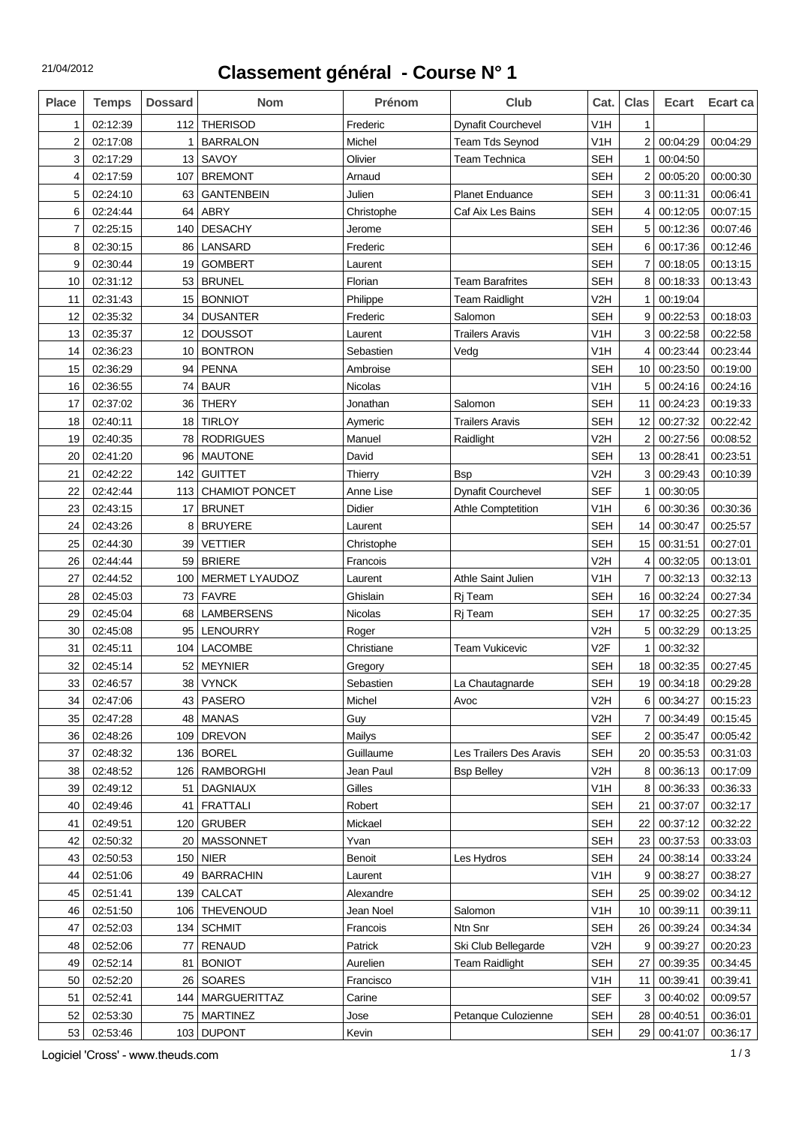## **Classement général - Course N° 1**

| V1H<br>02:12:39<br>112<br><b>THERISOD</b><br>Frederic<br><b>Dynafit Courchevel</b><br>1<br>$\mathbf{1}$<br>$\overline{2}$<br>$\overline{2}$<br><b>BARRALON</b><br>Michel<br>Team Tds Seynod<br>V <sub>1</sub> H<br>00:04:29<br>00:04:29<br>02:17:08<br>1<br>3<br>13<br>SAVOY<br>Olivier<br><b>SEH</b><br>00:04:50<br>02:17:29<br><b>Team Technica</b><br>$\mathbf{1}$<br><b>BREMONT</b><br><b>SEH</b><br>$\overline{2}$<br>4<br>02:17:59<br>107<br>Arnaud<br>00:05:20<br>00:00:30<br>Julien<br><b>SEH</b><br>5<br>02:24:10<br><b>GANTENBEIN</b><br><b>Planet Enduance</b><br>3<br>00:11:31<br>00:06:41<br>63<br>6<br>02:24:44<br><b>ABRY</b><br><b>SEH</b><br>00:07:15<br>64<br>Christophe<br>Caf Aix Les Bains<br>4<br>00:12:05<br>7<br>02:25:15<br><b>DESACHY</b><br><b>SEH</b><br>00:07:46<br>140<br>Jerome<br>5<br>00:12:36<br>LANSARD<br><b>SEH</b><br>8<br>02:30:15<br>Frederic<br>6<br>00:17:36<br>00:12:46<br>86<br>9<br><b>SEH</b><br>00:18:05<br>00:13:15<br>02:30:44<br>19<br><b>GOMBERT</b><br>7<br>Laurent<br><b>BRUNEL</b><br><b>SEH</b><br>8<br>10<br>02:31:12<br>53<br>Florian<br><b>Team Barafrites</b><br>00:18:33<br>00:13:43<br>V <sub>2</sub> H<br>02:31:43<br>15<br><b>BONNIOT</b><br>Philippe<br><b>Team Raidlight</b><br>00:19:04<br>11<br>1<br>02:35:32<br><b>DUSANTER</b><br><b>SEH</b><br>12<br>34<br>Frederic<br>Salomon<br>9<br>00:22:53<br>00:18:03<br><b>DOUSSOT</b><br>V1H<br>3<br>00:22:58<br>13<br>02:35:37<br>12<br><b>Trailers Aravis</b><br>00:22:58<br>Laurent<br>02:36:23<br><b>BONTRON</b><br>V <sub>1</sub> H<br>00:23:44<br>00:23:44<br>14<br>10<br>Sebastien<br>4<br>Vedg<br><b>PENNA</b><br><b>SEH</b><br>10 <sup>1</sup><br>15<br>02:36:29<br>94<br>Ambroise<br>00:23:50<br>00:19:00<br>02:36:55<br><b>BAUR</b><br>V1H<br>5<br>00:24:16<br>00:24:16<br>16<br>74<br>Nicolas<br>02:37:02<br><b>THERY</b><br>00:19:33<br>17<br>36<br>Jonathan<br>Salomon<br><b>SEH</b><br>11<br>00:24:23<br><b>TIRLOY</b><br><b>SEH</b><br>00:27:32<br>00:22:42<br>18<br>02:40:11<br>18<br>Aymeric<br><b>Trailers Aravis</b><br>12<br>V <sub>2</sub> H<br>$\overline{2}$<br>02:40:35<br>78<br><b>RODRIGUES</b><br>Manuel<br>Raidlight<br>00:27:56<br>00:08:52<br>19<br>96<br><b>SEH</b><br>13<br>00:28:41<br>00:23:51<br>20<br>02:41:20<br><b>MAUTONE</b><br>David<br>V <sub>2</sub> H<br>3<br>00:29:43<br>21<br>02:42:22<br>142<br><b>GUITTET</b><br>00:10:39<br>Thierry<br><b>B</b> sp<br>22<br>02:42:44<br>113<br><b>CHAMIOT PONCET</b><br>Anne Lise<br><b>Dynafit Courchevel</b><br><b>SEF</b><br>00:30:05<br>1<br><b>BRUNET</b><br>Didier<br>V <sub>1</sub> H<br>00:30:36<br>23<br>02:43:15<br>17<br><b>Athle Comptetition</b><br>6<br>00:30:36<br>02:43:26<br>8<br><b>BRUYERE</b><br><b>SEH</b><br>00:30:47<br>00:25:57<br>24<br>14<br>Laurent<br>02:44:30<br><b>SEH</b><br>15<br>00:31:51<br>25<br>39<br><b>VETTIER</b><br>Christophe<br>00:27:01<br>V <sub>2</sub> H<br>26<br>02:44:44<br>59<br><b>BRIERE</b><br>4<br>00:32:05<br>00:13:01<br>Francois<br>02:44:52<br>V <sub>1</sub> H<br>00:32:13<br>27<br>100<br>MERMET LYAUDOZ<br>Athle Saint Julien<br>00:32:13<br>Laurent<br>7<br>Ghislain<br>00:27:34<br>28<br>02:45:03<br>73<br><b>FAVRE</b><br><b>SEH</b><br>16<br>00:32:24<br>Rj Team<br>02:45:04<br><b>LAMBERSENS</b><br>Nicolas<br><b>SEH</b><br>17<br>00:32:25<br>00:27:35<br>29<br>68<br>Rj Team<br>V <sub>2</sub> H<br>5<br>00:32:29<br>30<br>02:45:08<br>95<br><b>LENOURRY</b><br>00:13:25<br>Roger<br>31<br>V <sub>2F</sub><br>00:32:32<br>02:45:11<br>104<br><b>LACOMBE</b><br>Christiane<br><b>Team Vukicevic</b><br>1<br>32<br><b>MEYNIER</b><br>00:27:45<br>02:45:14<br>52<br><b>SEH</b><br>18<br>00:32:35<br>Gregory<br>33<br>38<br><b>VYNCK</b><br><b>SEH</b><br>19<br>00:34:18<br>00:29:28<br>02:46:57<br>Sebastien<br>La Chautagnarde<br>V <sub>2</sub> H<br>PASERO<br>00:15:23<br>34<br>02:47:06<br>43  <br>Michel<br>6<br>00:34:27<br>Avoc<br><b>MANAS</b><br>02:47:28<br>48<br>V2H<br>00:34:49<br>00:15:45<br>35<br>Guy<br>$\overline{7}$<br><b>SEF</b><br>02:48:26<br><b>DREVON</b><br>Mailys<br>00:35:47<br>00:05:42<br>36<br>109<br>$\overline{2}$<br><b>BOREL</b><br><b>SEH</b><br>37<br>02:48:32<br>136<br>Guillaume<br>Les Trailers Des Aravis<br>00:35:53<br>00:31:03<br>20 <br>02:48:52<br>RAMBORGHI<br>Jean Paul<br>V2H<br>00:36:13<br>00:17:09<br>38<br>126<br><b>Bsp Belley</b><br>8<br>02:49:12<br>Gilles<br>V <sub>1</sub> H<br>39<br>DAGNIAUX<br>8<br>00:36:33<br>00:36:33<br>51<br><b>FRATTALI</b><br>Robert<br><b>SEH</b><br>00:37:07<br>00:32:17<br>40<br>02:49:46<br>41<br>21<br><b>GRUBER</b><br><b>SEH</b><br>22<br>00:37:12<br>00:32:22<br>02:49:51<br>Mickael<br>41<br>120<br>02:50:32<br><b>MASSONNET</b><br>Yvan<br><b>SEH</b><br>23 <br>00:37:53<br>00:33:03<br>42<br>20<br>02:50:53<br>150<br><b>NIER</b><br><b>SEH</b><br>24<br>00:38:14<br>00:33:24<br>43<br>Benoit<br>Les Hydros<br><b>BARRACHIN</b><br>02:51:06<br>V <sub>1</sub> H<br>9<br>00:38:27<br>00:38:27<br>44<br>49<br>Laurent<br><b>CALCAT</b><br><b>SEH</b><br>00:39:02<br>00:34:12<br>45<br>02:51:41<br>139<br>Alexandre<br>25 <br>THEVENOUD<br>Jean Noel<br>V <sub>1</sub> H<br>00:39:11<br>00:39:11<br>46<br>02:51:50<br>106<br>Salomon<br>10 <sup>1</sup><br><b>SEH</b><br>00:34:34<br>47<br>02:52:03<br>134<br><b>SCHMIT</b><br>Francois<br>Ntn Snr<br>26 <br>00:39:24<br><b>RENAUD</b><br>V2H<br>9 <sup>1</sup><br>00:39:27<br>00:20:23<br>48<br>02:52:06<br>77<br>Patrick<br>Ski Club Bellegarde<br>02:52:14<br><b>BONIOT</b><br>Aurelien<br><b>SEH</b><br>00:34:45<br>49<br>81<br><b>Team Raidlight</b><br>27<br>00:39:35<br>50<br>02:52:20<br>26<br><b>SOARES</b><br>Francisco<br>V <sub>1</sub> H<br>11<br>00:39:41<br>00:39:41<br><b>SEF</b><br>00:09:57<br>51<br>02:52:41<br>MARGUERITTAZ<br>Carine<br>3<br>00:40:02<br>144<br>02:53:30<br><b>MARTINEZ</b><br>Jose<br><b>SEH</b><br>28<br>00:40:51<br>00:36:01<br>52<br>75<br>Petanque Culozienne<br>53<br>02:53:46<br>103 DUPONT<br>Kevin<br><b>SEH</b><br>29 00:41:07<br>00:36:17 | <b>Place</b> | <b>Temps</b> | <b>Dossard</b> | <b>Nom</b> | Prénom | <b>Club</b> | Cat. | <b>Clas</b> | <b>Ecart</b> | Ecart ca |
|-------------------------------------------------------------------------------------------------------------------------------------------------------------------------------------------------------------------------------------------------------------------------------------------------------------------------------------------------------------------------------------------------------------------------------------------------------------------------------------------------------------------------------------------------------------------------------------------------------------------------------------------------------------------------------------------------------------------------------------------------------------------------------------------------------------------------------------------------------------------------------------------------------------------------------------------------------------------------------------------------------------------------------------------------------------------------------------------------------------------------------------------------------------------------------------------------------------------------------------------------------------------------------------------------------------------------------------------------------------------------------------------------------------------------------------------------------------------------------------------------------------------------------------------------------------------------------------------------------------------------------------------------------------------------------------------------------------------------------------------------------------------------------------------------------------------------------------------------------------------------------------------------------------------------------------------------------------------------------------------------------------------------------------------------------------------------------------------------------------------------------------------------------------------------------------------------------------------------------------------------------------------------------------------------------------------------------------------------------------------------------------------------------------------------------------------------------------------------------------------------------------------------------------------------------------------------------------------------------------------------------------------------------------------------------------------------------------------------------------------------------------------------------------------------------------------------------------------------------------------------------------------------------------------------------------------------------------------------------------------------------------------------------------------------------------------------------------------------------------------------------------------------------------------------------------------------------------------------------------------------------------------------------------------------------------------------------------------------------------------------------------------------------------------------------------------------------------------------------------------------------------------------------------------------------------------------------------------------------------------------------------------------------------------------------------------------------------------------------------------------------------------------------------------------------------------------------------------------------------------------------------------------------------------------------------------------------------------------------------------------------------------------------------------------------------------------------------------------------------------------------------------------------------------------------------------------------------------------------------------------------------------------------------------------------------------------------------------------------------------------------------------------------------------------------------------------------------------------------------------------------------------------------------------------------------------------------------------------------------------------------------------------------------------------------------------------------------------------------------------------------------------------------------------------------------------------------------------------------------------------------------------------------------------------------------------------------------------------------------------------------------------------------------------------------------------------------------------------------------------------------------------------------------------------------------------------------------------------------------------------------------------------------------------------------------------------------------------------------------------------------------------------------------------------------------------------------------------------------------------------------------------------------------------------------------------------------------------------------------------------------------------------------------------------------------------------------------------------------------------------------------------------------------------------------------------------------------------------------------------------------------------------------------------------------------------------------------------------------------------------------|--------------|--------------|----------------|------------|--------|-------------|------|-------------|--------------|----------|
|                                                                                                                                                                                                                                                                                                                                                                                                                                                                                                                                                                                                                                                                                                                                                                                                                                                                                                                                                                                                                                                                                                                                                                                                                                                                                                                                                                                                                                                                                                                                                                                                                                                                                                                                                                                                                                                                                                                                                                                                                                                                                                                                                                                                                                                                                                                                                                                                                                                                                                                                                                                                                                                                                                                                                                                                                                                                                                                                                                                                                                                                                                                                                                                                                                                                                                                                                                                                                                                                                                                                                                                                                                                                                                                                                                                                                                                                                                                                                                                                                                                                                                                                                                                                                                                                                                                                                                                                                                                                                                                                                                                                                                                                                                                                                                                                                                                                                                                                                                                                                                                                                                                                                                                                                                                                                                                                                                                                                                                                                                                                                                                                                                                                                                                                                                                                                                                                                                                                                                                                       |              |              |                |            |        |             |      |             |              |          |
|                                                                                                                                                                                                                                                                                                                                                                                                                                                                                                                                                                                                                                                                                                                                                                                                                                                                                                                                                                                                                                                                                                                                                                                                                                                                                                                                                                                                                                                                                                                                                                                                                                                                                                                                                                                                                                                                                                                                                                                                                                                                                                                                                                                                                                                                                                                                                                                                                                                                                                                                                                                                                                                                                                                                                                                                                                                                                                                                                                                                                                                                                                                                                                                                                                                                                                                                                                                                                                                                                                                                                                                                                                                                                                                                                                                                                                                                                                                                                                                                                                                                                                                                                                                                                                                                                                                                                                                                                                                                                                                                                                                                                                                                                                                                                                                                                                                                                                                                                                                                                                                                                                                                                                                                                                                                                                                                                                                                                                                                                                                                                                                                                                                                                                                                                                                                                                                                                                                                                                                                       |              |              |                |            |        |             |      |             |              |          |
|                                                                                                                                                                                                                                                                                                                                                                                                                                                                                                                                                                                                                                                                                                                                                                                                                                                                                                                                                                                                                                                                                                                                                                                                                                                                                                                                                                                                                                                                                                                                                                                                                                                                                                                                                                                                                                                                                                                                                                                                                                                                                                                                                                                                                                                                                                                                                                                                                                                                                                                                                                                                                                                                                                                                                                                                                                                                                                                                                                                                                                                                                                                                                                                                                                                                                                                                                                                                                                                                                                                                                                                                                                                                                                                                                                                                                                                                                                                                                                                                                                                                                                                                                                                                                                                                                                                                                                                                                                                                                                                                                                                                                                                                                                                                                                                                                                                                                                                                                                                                                                                                                                                                                                                                                                                                                                                                                                                                                                                                                                                                                                                                                                                                                                                                                                                                                                                                                                                                                                                                       |              |              |                |            |        |             |      |             |              |          |
|                                                                                                                                                                                                                                                                                                                                                                                                                                                                                                                                                                                                                                                                                                                                                                                                                                                                                                                                                                                                                                                                                                                                                                                                                                                                                                                                                                                                                                                                                                                                                                                                                                                                                                                                                                                                                                                                                                                                                                                                                                                                                                                                                                                                                                                                                                                                                                                                                                                                                                                                                                                                                                                                                                                                                                                                                                                                                                                                                                                                                                                                                                                                                                                                                                                                                                                                                                                                                                                                                                                                                                                                                                                                                                                                                                                                                                                                                                                                                                                                                                                                                                                                                                                                                                                                                                                                                                                                                                                                                                                                                                                                                                                                                                                                                                                                                                                                                                                                                                                                                                                                                                                                                                                                                                                                                                                                                                                                                                                                                                                                                                                                                                                                                                                                                                                                                                                                                                                                                                                                       |              |              |                |            |        |             |      |             |              |          |
|                                                                                                                                                                                                                                                                                                                                                                                                                                                                                                                                                                                                                                                                                                                                                                                                                                                                                                                                                                                                                                                                                                                                                                                                                                                                                                                                                                                                                                                                                                                                                                                                                                                                                                                                                                                                                                                                                                                                                                                                                                                                                                                                                                                                                                                                                                                                                                                                                                                                                                                                                                                                                                                                                                                                                                                                                                                                                                                                                                                                                                                                                                                                                                                                                                                                                                                                                                                                                                                                                                                                                                                                                                                                                                                                                                                                                                                                                                                                                                                                                                                                                                                                                                                                                                                                                                                                                                                                                                                                                                                                                                                                                                                                                                                                                                                                                                                                                                                                                                                                                                                                                                                                                                                                                                                                                                                                                                                                                                                                                                                                                                                                                                                                                                                                                                                                                                                                                                                                                                                                       |              |              |                |            |        |             |      |             |              |          |
|                                                                                                                                                                                                                                                                                                                                                                                                                                                                                                                                                                                                                                                                                                                                                                                                                                                                                                                                                                                                                                                                                                                                                                                                                                                                                                                                                                                                                                                                                                                                                                                                                                                                                                                                                                                                                                                                                                                                                                                                                                                                                                                                                                                                                                                                                                                                                                                                                                                                                                                                                                                                                                                                                                                                                                                                                                                                                                                                                                                                                                                                                                                                                                                                                                                                                                                                                                                                                                                                                                                                                                                                                                                                                                                                                                                                                                                                                                                                                                                                                                                                                                                                                                                                                                                                                                                                                                                                                                                                                                                                                                                                                                                                                                                                                                                                                                                                                                                                                                                                                                                                                                                                                                                                                                                                                                                                                                                                                                                                                                                                                                                                                                                                                                                                                                                                                                                                                                                                                                                                       |              |              |                |            |        |             |      |             |              |          |
|                                                                                                                                                                                                                                                                                                                                                                                                                                                                                                                                                                                                                                                                                                                                                                                                                                                                                                                                                                                                                                                                                                                                                                                                                                                                                                                                                                                                                                                                                                                                                                                                                                                                                                                                                                                                                                                                                                                                                                                                                                                                                                                                                                                                                                                                                                                                                                                                                                                                                                                                                                                                                                                                                                                                                                                                                                                                                                                                                                                                                                                                                                                                                                                                                                                                                                                                                                                                                                                                                                                                                                                                                                                                                                                                                                                                                                                                                                                                                                                                                                                                                                                                                                                                                                                                                                                                                                                                                                                                                                                                                                                                                                                                                                                                                                                                                                                                                                                                                                                                                                                                                                                                                                                                                                                                                                                                                                                                                                                                                                                                                                                                                                                                                                                                                                                                                                                                                                                                                                                                       |              |              |                |            |        |             |      |             |              |          |
|                                                                                                                                                                                                                                                                                                                                                                                                                                                                                                                                                                                                                                                                                                                                                                                                                                                                                                                                                                                                                                                                                                                                                                                                                                                                                                                                                                                                                                                                                                                                                                                                                                                                                                                                                                                                                                                                                                                                                                                                                                                                                                                                                                                                                                                                                                                                                                                                                                                                                                                                                                                                                                                                                                                                                                                                                                                                                                                                                                                                                                                                                                                                                                                                                                                                                                                                                                                                                                                                                                                                                                                                                                                                                                                                                                                                                                                                                                                                                                                                                                                                                                                                                                                                                                                                                                                                                                                                                                                                                                                                                                                                                                                                                                                                                                                                                                                                                                                                                                                                                                                                                                                                                                                                                                                                                                                                                                                                                                                                                                                                                                                                                                                                                                                                                                                                                                                                                                                                                                                                       |              |              |                |            |        |             |      |             |              |          |
|                                                                                                                                                                                                                                                                                                                                                                                                                                                                                                                                                                                                                                                                                                                                                                                                                                                                                                                                                                                                                                                                                                                                                                                                                                                                                                                                                                                                                                                                                                                                                                                                                                                                                                                                                                                                                                                                                                                                                                                                                                                                                                                                                                                                                                                                                                                                                                                                                                                                                                                                                                                                                                                                                                                                                                                                                                                                                                                                                                                                                                                                                                                                                                                                                                                                                                                                                                                                                                                                                                                                                                                                                                                                                                                                                                                                                                                                                                                                                                                                                                                                                                                                                                                                                                                                                                                                                                                                                                                                                                                                                                                                                                                                                                                                                                                                                                                                                                                                                                                                                                                                                                                                                                                                                                                                                                                                                                                                                                                                                                                                                                                                                                                                                                                                                                                                                                                                                                                                                                                                       |              |              |                |            |        |             |      |             |              |          |
|                                                                                                                                                                                                                                                                                                                                                                                                                                                                                                                                                                                                                                                                                                                                                                                                                                                                                                                                                                                                                                                                                                                                                                                                                                                                                                                                                                                                                                                                                                                                                                                                                                                                                                                                                                                                                                                                                                                                                                                                                                                                                                                                                                                                                                                                                                                                                                                                                                                                                                                                                                                                                                                                                                                                                                                                                                                                                                                                                                                                                                                                                                                                                                                                                                                                                                                                                                                                                                                                                                                                                                                                                                                                                                                                                                                                                                                                                                                                                                                                                                                                                                                                                                                                                                                                                                                                                                                                                                                                                                                                                                                                                                                                                                                                                                                                                                                                                                                                                                                                                                                                                                                                                                                                                                                                                                                                                                                                                                                                                                                                                                                                                                                                                                                                                                                                                                                                                                                                                                                                       |              |              |                |            |        |             |      |             |              |          |
|                                                                                                                                                                                                                                                                                                                                                                                                                                                                                                                                                                                                                                                                                                                                                                                                                                                                                                                                                                                                                                                                                                                                                                                                                                                                                                                                                                                                                                                                                                                                                                                                                                                                                                                                                                                                                                                                                                                                                                                                                                                                                                                                                                                                                                                                                                                                                                                                                                                                                                                                                                                                                                                                                                                                                                                                                                                                                                                                                                                                                                                                                                                                                                                                                                                                                                                                                                                                                                                                                                                                                                                                                                                                                                                                                                                                                                                                                                                                                                                                                                                                                                                                                                                                                                                                                                                                                                                                                                                                                                                                                                                                                                                                                                                                                                                                                                                                                                                                                                                                                                                                                                                                                                                                                                                                                                                                                                                                                                                                                                                                                                                                                                                                                                                                                                                                                                                                                                                                                                                                       |              |              |                |            |        |             |      |             |              |          |
|                                                                                                                                                                                                                                                                                                                                                                                                                                                                                                                                                                                                                                                                                                                                                                                                                                                                                                                                                                                                                                                                                                                                                                                                                                                                                                                                                                                                                                                                                                                                                                                                                                                                                                                                                                                                                                                                                                                                                                                                                                                                                                                                                                                                                                                                                                                                                                                                                                                                                                                                                                                                                                                                                                                                                                                                                                                                                                                                                                                                                                                                                                                                                                                                                                                                                                                                                                                                                                                                                                                                                                                                                                                                                                                                                                                                                                                                                                                                                                                                                                                                                                                                                                                                                                                                                                                                                                                                                                                                                                                                                                                                                                                                                                                                                                                                                                                                                                                                                                                                                                                                                                                                                                                                                                                                                                                                                                                                                                                                                                                                                                                                                                                                                                                                                                                                                                                                                                                                                                                                       |              |              |                |            |        |             |      |             |              |          |
|                                                                                                                                                                                                                                                                                                                                                                                                                                                                                                                                                                                                                                                                                                                                                                                                                                                                                                                                                                                                                                                                                                                                                                                                                                                                                                                                                                                                                                                                                                                                                                                                                                                                                                                                                                                                                                                                                                                                                                                                                                                                                                                                                                                                                                                                                                                                                                                                                                                                                                                                                                                                                                                                                                                                                                                                                                                                                                                                                                                                                                                                                                                                                                                                                                                                                                                                                                                                                                                                                                                                                                                                                                                                                                                                                                                                                                                                                                                                                                                                                                                                                                                                                                                                                                                                                                                                                                                                                                                                                                                                                                                                                                                                                                                                                                                                                                                                                                                                                                                                                                                                                                                                                                                                                                                                                                                                                                                                                                                                                                                                                                                                                                                                                                                                                                                                                                                                                                                                                                                                       |              |              |                |            |        |             |      |             |              |          |
|                                                                                                                                                                                                                                                                                                                                                                                                                                                                                                                                                                                                                                                                                                                                                                                                                                                                                                                                                                                                                                                                                                                                                                                                                                                                                                                                                                                                                                                                                                                                                                                                                                                                                                                                                                                                                                                                                                                                                                                                                                                                                                                                                                                                                                                                                                                                                                                                                                                                                                                                                                                                                                                                                                                                                                                                                                                                                                                                                                                                                                                                                                                                                                                                                                                                                                                                                                                                                                                                                                                                                                                                                                                                                                                                                                                                                                                                                                                                                                                                                                                                                                                                                                                                                                                                                                                                                                                                                                                                                                                                                                                                                                                                                                                                                                                                                                                                                                                                                                                                                                                                                                                                                                                                                                                                                                                                                                                                                                                                                                                                                                                                                                                                                                                                                                                                                                                                                                                                                                                                       |              |              |                |            |        |             |      |             |              |          |
|                                                                                                                                                                                                                                                                                                                                                                                                                                                                                                                                                                                                                                                                                                                                                                                                                                                                                                                                                                                                                                                                                                                                                                                                                                                                                                                                                                                                                                                                                                                                                                                                                                                                                                                                                                                                                                                                                                                                                                                                                                                                                                                                                                                                                                                                                                                                                                                                                                                                                                                                                                                                                                                                                                                                                                                                                                                                                                                                                                                                                                                                                                                                                                                                                                                                                                                                                                                                                                                                                                                                                                                                                                                                                                                                                                                                                                                                                                                                                                                                                                                                                                                                                                                                                                                                                                                                                                                                                                                                                                                                                                                                                                                                                                                                                                                                                                                                                                                                                                                                                                                                                                                                                                                                                                                                                                                                                                                                                                                                                                                                                                                                                                                                                                                                                                                                                                                                                                                                                                                                       |              |              |                |            |        |             |      |             |              |          |
|                                                                                                                                                                                                                                                                                                                                                                                                                                                                                                                                                                                                                                                                                                                                                                                                                                                                                                                                                                                                                                                                                                                                                                                                                                                                                                                                                                                                                                                                                                                                                                                                                                                                                                                                                                                                                                                                                                                                                                                                                                                                                                                                                                                                                                                                                                                                                                                                                                                                                                                                                                                                                                                                                                                                                                                                                                                                                                                                                                                                                                                                                                                                                                                                                                                                                                                                                                                                                                                                                                                                                                                                                                                                                                                                                                                                                                                                                                                                                                                                                                                                                                                                                                                                                                                                                                                                                                                                                                                                                                                                                                                                                                                                                                                                                                                                                                                                                                                                                                                                                                                                                                                                                                                                                                                                                                                                                                                                                                                                                                                                                                                                                                                                                                                                                                                                                                                                                                                                                                                                       |              |              |                |            |        |             |      |             |              |          |
|                                                                                                                                                                                                                                                                                                                                                                                                                                                                                                                                                                                                                                                                                                                                                                                                                                                                                                                                                                                                                                                                                                                                                                                                                                                                                                                                                                                                                                                                                                                                                                                                                                                                                                                                                                                                                                                                                                                                                                                                                                                                                                                                                                                                                                                                                                                                                                                                                                                                                                                                                                                                                                                                                                                                                                                                                                                                                                                                                                                                                                                                                                                                                                                                                                                                                                                                                                                                                                                                                                                                                                                                                                                                                                                                                                                                                                                                                                                                                                                                                                                                                                                                                                                                                                                                                                                                                                                                                                                                                                                                                                                                                                                                                                                                                                                                                                                                                                                                                                                                                                                                                                                                                                                                                                                                                                                                                                                                                                                                                                                                                                                                                                                                                                                                                                                                                                                                                                                                                                                                       |              |              |                |            |        |             |      |             |              |          |
|                                                                                                                                                                                                                                                                                                                                                                                                                                                                                                                                                                                                                                                                                                                                                                                                                                                                                                                                                                                                                                                                                                                                                                                                                                                                                                                                                                                                                                                                                                                                                                                                                                                                                                                                                                                                                                                                                                                                                                                                                                                                                                                                                                                                                                                                                                                                                                                                                                                                                                                                                                                                                                                                                                                                                                                                                                                                                                                                                                                                                                                                                                                                                                                                                                                                                                                                                                                                                                                                                                                                                                                                                                                                                                                                                                                                                                                                                                                                                                                                                                                                                                                                                                                                                                                                                                                                                                                                                                                                                                                                                                                                                                                                                                                                                                                                                                                                                                                                                                                                                                                                                                                                                                                                                                                                                                                                                                                                                                                                                                                                                                                                                                                                                                                                                                                                                                                                                                                                                                                                       |              |              |                |            |        |             |      |             |              |          |
|                                                                                                                                                                                                                                                                                                                                                                                                                                                                                                                                                                                                                                                                                                                                                                                                                                                                                                                                                                                                                                                                                                                                                                                                                                                                                                                                                                                                                                                                                                                                                                                                                                                                                                                                                                                                                                                                                                                                                                                                                                                                                                                                                                                                                                                                                                                                                                                                                                                                                                                                                                                                                                                                                                                                                                                                                                                                                                                                                                                                                                                                                                                                                                                                                                                                                                                                                                                                                                                                                                                                                                                                                                                                                                                                                                                                                                                                                                                                                                                                                                                                                                                                                                                                                                                                                                                                                                                                                                                                                                                                                                                                                                                                                                                                                                                                                                                                                                                                                                                                                                                                                                                                                                                                                                                                                                                                                                                                                                                                                                                                                                                                                                                                                                                                                                                                                                                                                                                                                                                                       |              |              |                |            |        |             |      |             |              |          |
|                                                                                                                                                                                                                                                                                                                                                                                                                                                                                                                                                                                                                                                                                                                                                                                                                                                                                                                                                                                                                                                                                                                                                                                                                                                                                                                                                                                                                                                                                                                                                                                                                                                                                                                                                                                                                                                                                                                                                                                                                                                                                                                                                                                                                                                                                                                                                                                                                                                                                                                                                                                                                                                                                                                                                                                                                                                                                                                                                                                                                                                                                                                                                                                                                                                                                                                                                                                                                                                                                                                                                                                                                                                                                                                                                                                                                                                                                                                                                                                                                                                                                                                                                                                                                                                                                                                                                                                                                                                                                                                                                                                                                                                                                                                                                                                                                                                                                                                                                                                                                                                                                                                                                                                                                                                                                                                                                                                                                                                                                                                                                                                                                                                                                                                                                                                                                                                                                                                                                                                                       |              |              |                |            |        |             |      |             |              |          |
|                                                                                                                                                                                                                                                                                                                                                                                                                                                                                                                                                                                                                                                                                                                                                                                                                                                                                                                                                                                                                                                                                                                                                                                                                                                                                                                                                                                                                                                                                                                                                                                                                                                                                                                                                                                                                                                                                                                                                                                                                                                                                                                                                                                                                                                                                                                                                                                                                                                                                                                                                                                                                                                                                                                                                                                                                                                                                                                                                                                                                                                                                                                                                                                                                                                                                                                                                                                                                                                                                                                                                                                                                                                                                                                                                                                                                                                                                                                                                                                                                                                                                                                                                                                                                                                                                                                                                                                                                                                                                                                                                                                                                                                                                                                                                                                                                                                                                                                                                                                                                                                                                                                                                                                                                                                                                                                                                                                                                                                                                                                                                                                                                                                                                                                                                                                                                                                                                                                                                                                                       |              |              |                |            |        |             |      |             |              |          |
|                                                                                                                                                                                                                                                                                                                                                                                                                                                                                                                                                                                                                                                                                                                                                                                                                                                                                                                                                                                                                                                                                                                                                                                                                                                                                                                                                                                                                                                                                                                                                                                                                                                                                                                                                                                                                                                                                                                                                                                                                                                                                                                                                                                                                                                                                                                                                                                                                                                                                                                                                                                                                                                                                                                                                                                                                                                                                                                                                                                                                                                                                                                                                                                                                                                                                                                                                                                                                                                                                                                                                                                                                                                                                                                                                                                                                                                                                                                                                                                                                                                                                                                                                                                                                                                                                                                                                                                                                                                                                                                                                                                                                                                                                                                                                                                                                                                                                                                                                                                                                                                                                                                                                                                                                                                                                                                                                                                                                                                                                                                                                                                                                                                                                                                                                                                                                                                                                                                                                                                                       |              |              |                |            |        |             |      |             |              |          |
|                                                                                                                                                                                                                                                                                                                                                                                                                                                                                                                                                                                                                                                                                                                                                                                                                                                                                                                                                                                                                                                                                                                                                                                                                                                                                                                                                                                                                                                                                                                                                                                                                                                                                                                                                                                                                                                                                                                                                                                                                                                                                                                                                                                                                                                                                                                                                                                                                                                                                                                                                                                                                                                                                                                                                                                                                                                                                                                                                                                                                                                                                                                                                                                                                                                                                                                                                                                                                                                                                                                                                                                                                                                                                                                                                                                                                                                                                                                                                                                                                                                                                                                                                                                                                                                                                                                                                                                                                                                                                                                                                                                                                                                                                                                                                                                                                                                                                                                                                                                                                                                                                                                                                                                                                                                                                                                                                                                                                                                                                                                                                                                                                                                                                                                                                                                                                                                                                                                                                                                                       |              |              |                |            |        |             |      |             |              |          |
|                                                                                                                                                                                                                                                                                                                                                                                                                                                                                                                                                                                                                                                                                                                                                                                                                                                                                                                                                                                                                                                                                                                                                                                                                                                                                                                                                                                                                                                                                                                                                                                                                                                                                                                                                                                                                                                                                                                                                                                                                                                                                                                                                                                                                                                                                                                                                                                                                                                                                                                                                                                                                                                                                                                                                                                                                                                                                                                                                                                                                                                                                                                                                                                                                                                                                                                                                                                                                                                                                                                                                                                                                                                                                                                                                                                                                                                                                                                                                                                                                                                                                                                                                                                                                                                                                                                                                                                                                                                                                                                                                                                                                                                                                                                                                                                                                                                                                                                                                                                                                                                                                                                                                                                                                                                                                                                                                                                                                                                                                                                                                                                                                                                                                                                                                                                                                                                                                                                                                                                                       |              |              |                |            |        |             |      |             |              |          |
|                                                                                                                                                                                                                                                                                                                                                                                                                                                                                                                                                                                                                                                                                                                                                                                                                                                                                                                                                                                                                                                                                                                                                                                                                                                                                                                                                                                                                                                                                                                                                                                                                                                                                                                                                                                                                                                                                                                                                                                                                                                                                                                                                                                                                                                                                                                                                                                                                                                                                                                                                                                                                                                                                                                                                                                                                                                                                                                                                                                                                                                                                                                                                                                                                                                                                                                                                                                                                                                                                                                                                                                                                                                                                                                                                                                                                                                                                                                                                                                                                                                                                                                                                                                                                                                                                                                                                                                                                                                                                                                                                                                                                                                                                                                                                                                                                                                                                                                                                                                                                                                                                                                                                                                                                                                                                                                                                                                                                                                                                                                                                                                                                                                                                                                                                                                                                                                                                                                                                                                                       |              |              |                |            |        |             |      |             |              |          |
|                                                                                                                                                                                                                                                                                                                                                                                                                                                                                                                                                                                                                                                                                                                                                                                                                                                                                                                                                                                                                                                                                                                                                                                                                                                                                                                                                                                                                                                                                                                                                                                                                                                                                                                                                                                                                                                                                                                                                                                                                                                                                                                                                                                                                                                                                                                                                                                                                                                                                                                                                                                                                                                                                                                                                                                                                                                                                                                                                                                                                                                                                                                                                                                                                                                                                                                                                                                                                                                                                                                                                                                                                                                                                                                                                                                                                                                                                                                                                                                                                                                                                                                                                                                                                                                                                                                                                                                                                                                                                                                                                                                                                                                                                                                                                                                                                                                                                                                                                                                                                                                                                                                                                                                                                                                                                                                                                                                                                                                                                                                                                                                                                                                                                                                                                                                                                                                                                                                                                                                                       |              |              |                |            |        |             |      |             |              |          |
|                                                                                                                                                                                                                                                                                                                                                                                                                                                                                                                                                                                                                                                                                                                                                                                                                                                                                                                                                                                                                                                                                                                                                                                                                                                                                                                                                                                                                                                                                                                                                                                                                                                                                                                                                                                                                                                                                                                                                                                                                                                                                                                                                                                                                                                                                                                                                                                                                                                                                                                                                                                                                                                                                                                                                                                                                                                                                                                                                                                                                                                                                                                                                                                                                                                                                                                                                                                                                                                                                                                                                                                                                                                                                                                                                                                                                                                                                                                                                                                                                                                                                                                                                                                                                                                                                                                                                                                                                                                                                                                                                                                                                                                                                                                                                                                                                                                                                                                                                                                                                                                                                                                                                                                                                                                                                                                                                                                                                                                                                                                                                                                                                                                                                                                                                                                                                                                                                                                                                                                                       |              |              |                |            |        |             |      |             |              |          |
|                                                                                                                                                                                                                                                                                                                                                                                                                                                                                                                                                                                                                                                                                                                                                                                                                                                                                                                                                                                                                                                                                                                                                                                                                                                                                                                                                                                                                                                                                                                                                                                                                                                                                                                                                                                                                                                                                                                                                                                                                                                                                                                                                                                                                                                                                                                                                                                                                                                                                                                                                                                                                                                                                                                                                                                                                                                                                                                                                                                                                                                                                                                                                                                                                                                                                                                                                                                                                                                                                                                                                                                                                                                                                                                                                                                                                                                                                                                                                                                                                                                                                                                                                                                                                                                                                                                                                                                                                                                                                                                                                                                                                                                                                                                                                                                                                                                                                                                                                                                                                                                                                                                                                                                                                                                                                                                                                                                                                                                                                                                                                                                                                                                                                                                                                                                                                                                                                                                                                                                                       |              |              |                |            |        |             |      |             |              |          |
|                                                                                                                                                                                                                                                                                                                                                                                                                                                                                                                                                                                                                                                                                                                                                                                                                                                                                                                                                                                                                                                                                                                                                                                                                                                                                                                                                                                                                                                                                                                                                                                                                                                                                                                                                                                                                                                                                                                                                                                                                                                                                                                                                                                                                                                                                                                                                                                                                                                                                                                                                                                                                                                                                                                                                                                                                                                                                                                                                                                                                                                                                                                                                                                                                                                                                                                                                                                                                                                                                                                                                                                                                                                                                                                                                                                                                                                                                                                                                                                                                                                                                                                                                                                                                                                                                                                                                                                                                                                                                                                                                                                                                                                                                                                                                                                                                                                                                                                                                                                                                                                                                                                                                                                                                                                                                                                                                                                                                                                                                                                                                                                                                                                                                                                                                                                                                                                                                                                                                                                                       |              |              |                |            |        |             |      |             |              |          |
|                                                                                                                                                                                                                                                                                                                                                                                                                                                                                                                                                                                                                                                                                                                                                                                                                                                                                                                                                                                                                                                                                                                                                                                                                                                                                                                                                                                                                                                                                                                                                                                                                                                                                                                                                                                                                                                                                                                                                                                                                                                                                                                                                                                                                                                                                                                                                                                                                                                                                                                                                                                                                                                                                                                                                                                                                                                                                                                                                                                                                                                                                                                                                                                                                                                                                                                                                                                                                                                                                                                                                                                                                                                                                                                                                                                                                                                                                                                                                                                                                                                                                                                                                                                                                                                                                                                                                                                                                                                                                                                                                                                                                                                                                                                                                                                                                                                                                                                                                                                                                                                                                                                                                                                                                                                                                                                                                                                                                                                                                                                                                                                                                                                                                                                                                                                                                                                                                                                                                                                                       |              |              |                |            |        |             |      |             |              |          |
|                                                                                                                                                                                                                                                                                                                                                                                                                                                                                                                                                                                                                                                                                                                                                                                                                                                                                                                                                                                                                                                                                                                                                                                                                                                                                                                                                                                                                                                                                                                                                                                                                                                                                                                                                                                                                                                                                                                                                                                                                                                                                                                                                                                                                                                                                                                                                                                                                                                                                                                                                                                                                                                                                                                                                                                                                                                                                                                                                                                                                                                                                                                                                                                                                                                                                                                                                                                                                                                                                                                                                                                                                                                                                                                                                                                                                                                                                                                                                                                                                                                                                                                                                                                                                                                                                                                                                                                                                                                                                                                                                                                                                                                                                                                                                                                                                                                                                                                                                                                                                                                                                                                                                                                                                                                                                                                                                                                                                                                                                                                                                                                                                                                                                                                                                                                                                                                                                                                                                                                                       |              |              |                |            |        |             |      |             |              |          |
|                                                                                                                                                                                                                                                                                                                                                                                                                                                                                                                                                                                                                                                                                                                                                                                                                                                                                                                                                                                                                                                                                                                                                                                                                                                                                                                                                                                                                                                                                                                                                                                                                                                                                                                                                                                                                                                                                                                                                                                                                                                                                                                                                                                                                                                                                                                                                                                                                                                                                                                                                                                                                                                                                                                                                                                                                                                                                                                                                                                                                                                                                                                                                                                                                                                                                                                                                                                                                                                                                                                                                                                                                                                                                                                                                                                                                                                                                                                                                                                                                                                                                                                                                                                                                                                                                                                                                                                                                                                                                                                                                                                                                                                                                                                                                                                                                                                                                                                                                                                                                                                                                                                                                                                                                                                                                                                                                                                                                                                                                                                                                                                                                                                                                                                                                                                                                                                                                                                                                                                                       |              |              |                |            |        |             |      |             |              |          |
|                                                                                                                                                                                                                                                                                                                                                                                                                                                                                                                                                                                                                                                                                                                                                                                                                                                                                                                                                                                                                                                                                                                                                                                                                                                                                                                                                                                                                                                                                                                                                                                                                                                                                                                                                                                                                                                                                                                                                                                                                                                                                                                                                                                                                                                                                                                                                                                                                                                                                                                                                                                                                                                                                                                                                                                                                                                                                                                                                                                                                                                                                                                                                                                                                                                                                                                                                                                                                                                                                                                                                                                                                                                                                                                                                                                                                                                                                                                                                                                                                                                                                                                                                                                                                                                                                                                                                                                                                                                                                                                                                                                                                                                                                                                                                                                                                                                                                                                                                                                                                                                                                                                                                                                                                                                                                                                                                                                                                                                                                                                                                                                                                                                                                                                                                                                                                                                                                                                                                                                                       |              |              |                |            |        |             |      |             |              |          |
|                                                                                                                                                                                                                                                                                                                                                                                                                                                                                                                                                                                                                                                                                                                                                                                                                                                                                                                                                                                                                                                                                                                                                                                                                                                                                                                                                                                                                                                                                                                                                                                                                                                                                                                                                                                                                                                                                                                                                                                                                                                                                                                                                                                                                                                                                                                                                                                                                                                                                                                                                                                                                                                                                                                                                                                                                                                                                                                                                                                                                                                                                                                                                                                                                                                                                                                                                                                                                                                                                                                                                                                                                                                                                                                                                                                                                                                                                                                                                                                                                                                                                                                                                                                                                                                                                                                                                                                                                                                                                                                                                                                                                                                                                                                                                                                                                                                                                                                                                                                                                                                                                                                                                                                                                                                                                                                                                                                                                                                                                                                                                                                                                                                                                                                                                                                                                                                                                                                                                                                                       |              |              |                |            |        |             |      |             |              |          |
|                                                                                                                                                                                                                                                                                                                                                                                                                                                                                                                                                                                                                                                                                                                                                                                                                                                                                                                                                                                                                                                                                                                                                                                                                                                                                                                                                                                                                                                                                                                                                                                                                                                                                                                                                                                                                                                                                                                                                                                                                                                                                                                                                                                                                                                                                                                                                                                                                                                                                                                                                                                                                                                                                                                                                                                                                                                                                                                                                                                                                                                                                                                                                                                                                                                                                                                                                                                                                                                                                                                                                                                                                                                                                                                                                                                                                                                                                                                                                                                                                                                                                                                                                                                                                                                                                                                                                                                                                                                                                                                                                                                                                                                                                                                                                                                                                                                                                                                                                                                                                                                                                                                                                                                                                                                                                                                                                                                                                                                                                                                                                                                                                                                                                                                                                                                                                                                                                                                                                                                                       |              |              |                |            |        |             |      |             |              |          |
|                                                                                                                                                                                                                                                                                                                                                                                                                                                                                                                                                                                                                                                                                                                                                                                                                                                                                                                                                                                                                                                                                                                                                                                                                                                                                                                                                                                                                                                                                                                                                                                                                                                                                                                                                                                                                                                                                                                                                                                                                                                                                                                                                                                                                                                                                                                                                                                                                                                                                                                                                                                                                                                                                                                                                                                                                                                                                                                                                                                                                                                                                                                                                                                                                                                                                                                                                                                                                                                                                                                                                                                                                                                                                                                                                                                                                                                                                                                                                                                                                                                                                                                                                                                                                                                                                                                                                                                                                                                                                                                                                                                                                                                                                                                                                                                                                                                                                                                                                                                                                                                                                                                                                                                                                                                                                                                                                                                                                                                                                                                                                                                                                                                                                                                                                                                                                                                                                                                                                                                                       |              |              |                |            |        |             |      |             |              |          |
|                                                                                                                                                                                                                                                                                                                                                                                                                                                                                                                                                                                                                                                                                                                                                                                                                                                                                                                                                                                                                                                                                                                                                                                                                                                                                                                                                                                                                                                                                                                                                                                                                                                                                                                                                                                                                                                                                                                                                                                                                                                                                                                                                                                                                                                                                                                                                                                                                                                                                                                                                                                                                                                                                                                                                                                                                                                                                                                                                                                                                                                                                                                                                                                                                                                                                                                                                                                                                                                                                                                                                                                                                                                                                                                                                                                                                                                                                                                                                                                                                                                                                                                                                                                                                                                                                                                                                                                                                                                                                                                                                                                                                                                                                                                                                                                                                                                                                                                                                                                                                                                                                                                                                                                                                                                                                                                                                                                                                                                                                                                                                                                                                                                                                                                                                                                                                                                                                                                                                                                                       |              |              |                |            |        |             |      |             |              |          |
|                                                                                                                                                                                                                                                                                                                                                                                                                                                                                                                                                                                                                                                                                                                                                                                                                                                                                                                                                                                                                                                                                                                                                                                                                                                                                                                                                                                                                                                                                                                                                                                                                                                                                                                                                                                                                                                                                                                                                                                                                                                                                                                                                                                                                                                                                                                                                                                                                                                                                                                                                                                                                                                                                                                                                                                                                                                                                                                                                                                                                                                                                                                                                                                                                                                                                                                                                                                                                                                                                                                                                                                                                                                                                                                                                                                                                                                                                                                                                                                                                                                                                                                                                                                                                                                                                                                                                                                                                                                                                                                                                                                                                                                                                                                                                                                                                                                                                                                                                                                                                                                                                                                                                                                                                                                                                                                                                                                                                                                                                                                                                                                                                                                                                                                                                                                                                                                                                                                                                                                                       |              |              |                |            |        |             |      |             |              |          |
|                                                                                                                                                                                                                                                                                                                                                                                                                                                                                                                                                                                                                                                                                                                                                                                                                                                                                                                                                                                                                                                                                                                                                                                                                                                                                                                                                                                                                                                                                                                                                                                                                                                                                                                                                                                                                                                                                                                                                                                                                                                                                                                                                                                                                                                                                                                                                                                                                                                                                                                                                                                                                                                                                                                                                                                                                                                                                                                                                                                                                                                                                                                                                                                                                                                                                                                                                                                                                                                                                                                                                                                                                                                                                                                                                                                                                                                                                                                                                                                                                                                                                                                                                                                                                                                                                                                                                                                                                                                                                                                                                                                                                                                                                                                                                                                                                                                                                                                                                                                                                                                                                                                                                                                                                                                                                                                                                                                                                                                                                                                                                                                                                                                                                                                                                                                                                                                                                                                                                                                                       |              |              |                |            |        |             |      |             |              |          |
|                                                                                                                                                                                                                                                                                                                                                                                                                                                                                                                                                                                                                                                                                                                                                                                                                                                                                                                                                                                                                                                                                                                                                                                                                                                                                                                                                                                                                                                                                                                                                                                                                                                                                                                                                                                                                                                                                                                                                                                                                                                                                                                                                                                                                                                                                                                                                                                                                                                                                                                                                                                                                                                                                                                                                                                                                                                                                                                                                                                                                                                                                                                                                                                                                                                                                                                                                                                                                                                                                                                                                                                                                                                                                                                                                                                                                                                                                                                                                                                                                                                                                                                                                                                                                                                                                                                                                                                                                                                                                                                                                                                                                                                                                                                                                                                                                                                                                                                                                                                                                                                                                                                                                                                                                                                                                                                                                                                                                                                                                                                                                                                                                                                                                                                                                                                                                                                                                                                                                                                                       |              |              |                |            |        |             |      |             |              |          |
|                                                                                                                                                                                                                                                                                                                                                                                                                                                                                                                                                                                                                                                                                                                                                                                                                                                                                                                                                                                                                                                                                                                                                                                                                                                                                                                                                                                                                                                                                                                                                                                                                                                                                                                                                                                                                                                                                                                                                                                                                                                                                                                                                                                                                                                                                                                                                                                                                                                                                                                                                                                                                                                                                                                                                                                                                                                                                                                                                                                                                                                                                                                                                                                                                                                                                                                                                                                                                                                                                                                                                                                                                                                                                                                                                                                                                                                                                                                                                                                                                                                                                                                                                                                                                                                                                                                                                                                                                                                                                                                                                                                                                                                                                                                                                                                                                                                                                                                                                                                                                                                                                                                                                                                                                                                                                                                                                                                                                                                                                                                                                                                                                                                                                                                                                                                                                                                                                                                                                                                                       |              |              |                |            |        |             |      |             |              |          |
|                                                                                                                                                                                                                                                                                                                                                                                                                                                                                                                                                                                                                                                                                                                                                                                                                                                                                                                                                                                                                                                                                                                                                                                                                                                                                                                                                                                                                                                                                                                                                                                                                                                                                                                                                                                                                                                                                                                                                                                                                                                                                                                                                                                                                                                                                                                                                                                                                                                                                                                                                                                                                                                                                                                                                                                                                                                                                                                                                                                                                                                                                                                                                                                                                                                                                                                                                                                                                                                                                                                                                                                                                                                                                                                                                                                                                                                                                                                                                                                                                                                                                                                                                                                                                                                                                                                                                                                                                                                                                                                                                                                                                                                                                                                                                                                                                                                                                                                                                                                                                                                                                                                                                                                                                                                                                                                                                                                                                                                                                                                                                                                                                                                                                                                                                                                                                                                                                                                                                                                                       |              |              |                |            |        |             |      |             |              |          |
|                                                                                                                                                                                                                                                                                                                                                                                                                                                                                                                                                                                                                                                                                                                                                                                                                                                                                                                                                                                                                                                                                                                                                                                                                                                                                                                                                                                                                                                                                                                                                                                                                                                                                                                                                                                                                                                                                                                                                                                                                                                                                                                                                                                                                                                                                                                                                                                                                                                                                                                                                                                                                                                                                                                                                                                                                                                                                                                                                                                                                                                                                                                                                                                                                                                                                                                                                                                                                                                                                                                                                                                                                                                                                                                                                                                                                                                                                                                                                                                                                                                                                                                                                                                                                                                                                                                                                                                                                                                                                                                                                                                                                                                                                                                                                                                                                                                                                                                                                                                                                                                                                                                                                                                                                                                                                                                                                                                                                                                                                                                                                                                                                                                                                                                                                                                                                                                                                                                                                                                                       |              |              |                |            |        |             |      |             |              |          |
|                                                                                                                                                                                                                                                                                                                                                                                                                                                                                                                                                                                                                                                                                                                                                                                                                                                                                                                                                                                                                                                                                                                                                                                                                                                                                                                                                                                                                                                                                                                                                                                                                                                                                                                                                                                                                                                                                                                                                                                                                                                                                                                                                                                                                                                                                                                                                                                                                                                                                                                                                                                                                                                                                                                                                                                                                                                                                                                                                                                                                                                                                                                                                                                                                                                                                                                                                                                                                                                                                                                                                                                                                                                                                                                                                                                                                                                                                                                                                                                                                                                                                                                                                                                                                                                                                                                                                                                                                                                                                                                                                                                                                                                                                                                                                                                                                                                                                                                                                                                                                                                                                                                                                                                                                                                                                                                                                                                                                                                                                                                                                                                                                                                                                                                                                                                                                                                                                                                                                                                                       |              |              |                |            |        |             |      |             |              |          |
|                                                                                                                                                                                                                                                                                                                                                                                                                                                                                                                                                                                                                                                                                                                                                                                                                                                                                                                                                                                                                                                                                                                                                                                                                                                                                                                                                                                                                                                                                                                                                                                                                                                                                                                                                                                                                                                                                                                                                                                                                                                                                                                                                                                                                                                                                                                                                                                                                                                                                                                                                                                                                                                                                                                                                                                                                                                                                                                                                                                                                                                                                                                                                                                                                                                                                                                                                                                                                                                                                                                                                                                                                                                                                                                                                                                                                                                                                                                                                                                                                                                                                                                                                                                                                                                                                                                                                                                                                                                                                                                                                                                                                                                                                                                                                                                                                                                                                                                                                                                                                                                                                                                                                                                                                                                                                                                                                                                                                                                                                                                                                                                                                                                                                                                                                                                                                                                                                                                                                                                                       |              |              |                |            |        |             |      |             |              |          |
|                                                                                                                                                                                                                                                                                                                                                                                                                                                                                                                                                                                                                                                                                                                                                                                                                                                                                                                                                                                                                                                                                                                                                                                                                                                                                                                                                                                                                                                                                                                                                                                                                                                                                                                                                                                                                                                                                                                                                                                                                                                                                                                                                                                                                                                                                                                                                                                                                                                                                                                                                                                                                                                                                                                                                                                                                                                                                                                                                                                                                                                                                                                                                                                                                                                                                                                                                                                                                                                                                                                                                                                                                                                                                                                                                                                                                                                                                                                                                                                                                                                                                                                                                                                                                                                                                                                                                                                                                                                                                                                                                                                                                                                                                                                                                                                                                                                                                                                                                                                                                                                                                                                                                                                                                                                                                                                                                                                                                                                                                                                                                                                                                                                                                                                                                                                                                                                                                                                                                                                                       |              |              |                |            |        |             |      |             |              |          |
|                                                                                                                                                                                                                                                                                                                                                                                                                                                                                                                                                                                                                                                                                                                                                                                                                                                                                                                                                                                                                                                                                                                                                                                                                                                                                                                                                                                                                                                                                                                                                                                                                                                                                                                                                                                                                                                                                                                                                                                                                                                                                                                                                                                                                                                                                                                                                                                                                                                                                                                                                                                                                                                                                                                                                                                                                                                                                                                                                                                                                                                                                                                                                                                                                                                                                                                                                                                                                                                                                                                                                                                                                                                                                                                                                                                                                                                                                                                                                                                                                                                                                                                                                                                                                                                                                                                                                                                                                                                                                                                                                                                                                                                                                                                                                                                                                                                                                                                                                                                                                                                                                                                                                                                                                                                                                                                                                                                                                                                                                                                                                                                                                                                                                                                                                                                                                                                                                                                                                                                                       |              |              |                |            |        |             |      |             |              |          |
|                                                                                                                                                                                                                                                                                                                                                                                                                                                                                                                                                                                                                                                                                                                                                                                                                                                                                                                                                                                                                                                                                                                                                                                                                                                                                                                                                                                                                                                                                                                                                                                                                                                                                                                                                                                                                                                                                                                                                                                                                                                                                                                                                                                                                                                                                                                                                                                                                                                                                                                                                                                                                                                                                                                                                                                                                                                                                                                                                                                                                                                                                                                                                                                                                                                                                                                                                                                                                                                                                                                                                                                                                                                                                                                                                                                                                                                                                                                                                                                                                                                                                                                                                                                                                                                                                                                                                                                                                                                                                                                                                                                                                                                                                                                                                                                                                                                                                                                                                                                                                                                                                                                                                                                                                                                                                                                                                                                                                                                                                                                                                                                                                                                                                                                                                                                                                                                                                                                                                                                                       |              |              |                |            |        |             |      |             |              |          |
|                                                                                                                                                                                                                                                                                                                                                                                                                                                                                                                                                                                                                                                                                                                                                                                                                                                                                                                                                                                                                                                                                                                                                                                                                                                                                                                                                                                                                                                                                                                                                                                                                                                                                                                                                                                                                                                                                                                                                                                                                                                                                                                                                                                                                                                                                                                                                                                                                                                                                                                                                                                                                                                                                                                                                                                                                                                                                                                                                                                                                                                                                                                                                                                                                                                                                                                                                                                                                                                                                                                                                                                                                                                                                                                                                                                                                                                                                                                                                                                                                                                                                                                                                                                                                                                                                                                                                                                                                                                                                                                                                                                                                                                                                                                                                                                                                                                                                                                                                                                                                                                                                                                                                                                                                                                                                                                                                                                                                                                                                                                                                                                                                                                                                                                                                                                                                                                                                                                                                                                                       |              |              |                |            |        |             |      |             |              |          |
|                                                                                                                                                                                                                                                                                                                                                                                                                                                                                                                                                                                                                                                                                                                                                                                                                                                                                                                                                                                                                                                                                                                                                                                                                                                                                                                                                                                                                                                                                                                                                                                                                                                                                                                                                                                                                                                                                                                                                                                                                                                                                                                                                                                                                                                                                                                                                                                                                                                                                                                                                                                                                                                                                                                                                                                                                                                                                                                                                                                                                                                                                                                                                                                                                                                                                                                                                                                                                                                                                                                                                                                                                                                                                                                                                                                                                                                                                                                                                                                                                                                                                                                                                                                                                                                                                                                                                                                                                                                                                                                                                                                                                                                                                                                                                                                                                                                                                                                                                                                                                                                                                                                                                                                                                                                                                                                                                                                                                                                                                                                                                                                                                                                                                                                                                                                                                                                                                                                                                                                                       |              |              |                |            |        |             |      |             |              |          |
|                                                                                                                                                                                                                                                                                                                                                                                                                                                                                                                                                                                                                                                                                                                                                                                                                                                                                                                                                                                                                                                                                                                                                                                                                                                                                                                                                                                                                                                                                                                                                                                                                                                                                                                                                                                                                                                                                                                                                                                                                                                                                                                                                                                                                                                                                                                                                                                                                                                                                                                                                                                                                                                                                                                                                                                                                                                                                                                                                                                                                                                                                                                                                                                                                                                                                                                                                                                                                                                                                                                                                                                                                                                                                                                                                                                                                                                                                                                                                                                                                                                                                                                                                                                                                                                                                                                                                                                                                                                                                                                                                                                                                                                                                                                                                                                                                                                                                                                                                                                                                                                                                                                                                                                                                                                                                                                                                                                                                                                                                                                                                                                                                                                                                                                                                                                                                                                                                                                                                                                                       |              |              |                |            |        |             |      |             |              |          |
|                                                                                                                                                                                                                                                                                                                                                                                                                                                                                                                                                                                                                                                                                                                                                                                                                                                                                                                                                                                                                                                                                                                                                                                                                                                                                                                                                                                                                                                                                                                                                                                                                                                                                                                                                                                                                                                                                                                                                                                                                                                                                                                                                                                                                                                                                                                                                                                                                                                                                                                                                                                                                                                                                                                                                                                                                                                                                                                                                                                                                                                                                                                                                                                                                                                                                                                                                                                                                                                                                                                                                                                                                                                                                                                                                                                                                                                                                                                                                                                                                                                                                                                                                                                                                                                                                                                                                                                                                                                                                                                                                                                                                                                                                                                                                                                                                                                                                                                                                                                                                                                                                                                                                                                                                                                                                                                                                                                                                                                                                                                                                                                                                                                                                                                                                                                                                                                                                                                                                                                                       |              |              |                |            |        |             |      |             |              |          |
|                                                                                                                                                                                                                                                                                                                                                                                                                                                                                                                                                                                                                                                                                                                                                                                                                                                                                                                                                                                                                                                                                                                                                                                                                                                                                                                                                                                                                                                                                                                                                                                                                                                                                                                                                                                                                                                                                                                                                                                                                                                                                                                                                                                                                                                                                                                                                                                                                                                                                                                                                                                                                                                                                                                                                                                                                                                                                                                                                                                                                                                                                                                                                                                                                                                                                                                                                                                                                                                                                                                                                                                                                                                                                                                                                                                                                                                                                                                                                                                                                                                                                                                                                                                                                                                                                                                                                                                                                                                                                                                                                                                                                                                                                                                                                                                                                                                                                                                                                                                                                                                                                                                                                                                                                                                                                                                                                                                                                                                                                                                                                                                                                                                                                                                                                                                                                                                                                                                                                                                                       |              |              |                |            |        |             |      |             |              |          |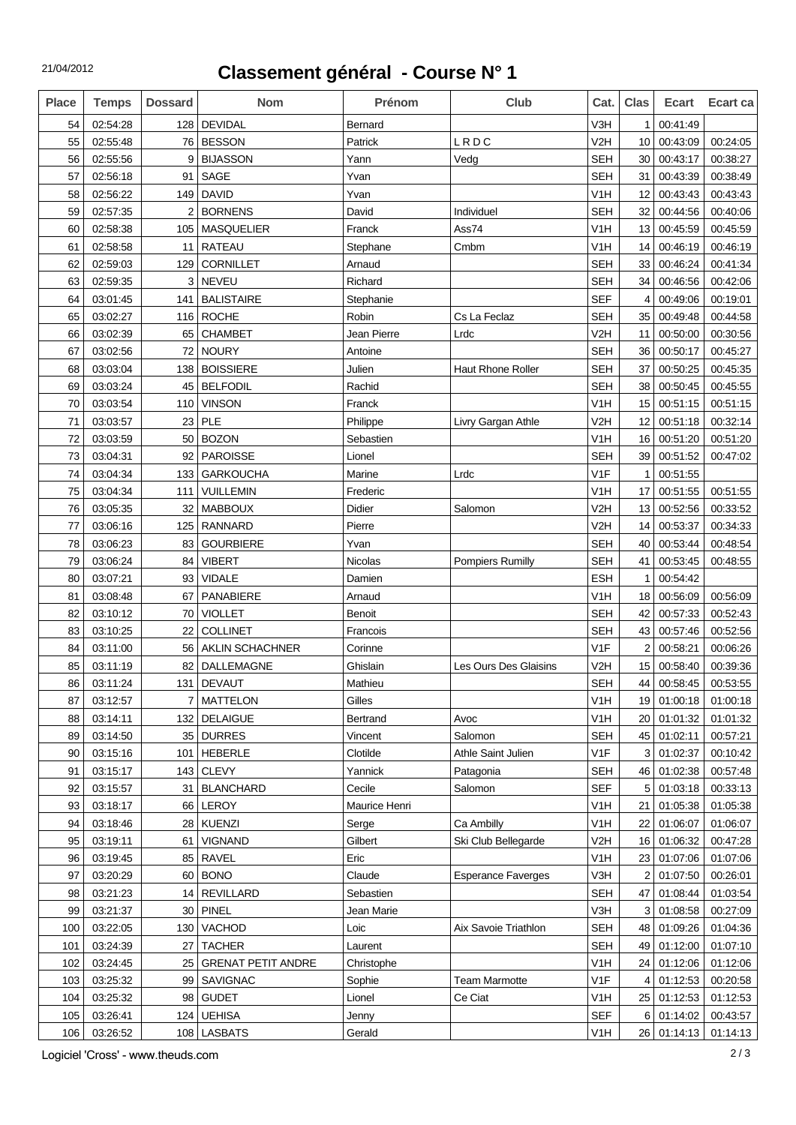## **Classement général - Course N° 1**

| <b>Place</b> | <b>Temps</b> | <b>Dossard</b> | <b>Nom</b>                | <b>Prénom</b> | Club                      | Cat.             | <b>Clas</b>       | <b>Ecart</b> | Ecart ca |
|--------------|--------------|----------------|---------------------------|---------------|---------------------------|------------------|-------------------|--------------|----------|
| 54           | 02:54:28     | 128            | <b>DEVIDAL</b>            | Bernard       |                           | V3H              | $\mathbf 1$       | 00:41:49     |          |
| 55           | 02:55:48     | 76             | <b>BESSON</b>             | Patrick       | LRDC                      | V <sub>2</sub> H | 10                | 00:43:09     | 00:24:05 |
| 56           | 02:55:56     | 9              | <b>BIJASSON</b>           | Yann          | Vedg                      | <b>SEH</b>       | 30                | 00:43:17     | 00:38:27 |
| 57           | 02:56:18     | 91             | SAGE                      | Yvan          |                           | <b>SEH</b>       | 31                | 00:43:39     | 00:38:49 |
| 58           | 02:56:22     | 149            | <b>DAVID</b>              | Yvan          |                           | V <sub>1</sub> H | 12                | 00:43:43     | 00:43:43 |
| 59           | 02:57:35     |                | <b>BORNENS</b>            | David         | Individuel                | <b>SEH</b>       | 32                | 00:44:56     | 00:40:06 |
| 60           | 02:58:38     | 105            | <b>MASQUELIER</b>         | Franck        | Ass74                     | V <sub>1</sub> H | 13                | 00:45:59     | 00:45:59 |
| 61           | 02:58:58     | 11             | <b>RATEAU</b>             | Stephane      | Cmbm                      | V1H              | 14                | 00:46:19     | 00:46:19 |
| 62           | 02:59:03     | 129            | <b>CORNILLET</b>          | Arnaud        |                           | <b>SEH</b>       | 33                | 00:46:24     | 00:41:34 |
| 63           | 02:59:35     | 3              | <b>NEVEU</b>              | Richard       |                           | <b>SEH</b>       | 34                | 00:46:56     | 00:42:06 |
| 64           | 03:01:45     | 141            | <b>BALISTAIRE</b>         | Stephanie     |                           | <b>SEF</b>       | 4                 | 00:49:06     | 00:19:01 |
| 65           | 03:02:27     | 116            | <b>ROCHE</b>              | Robin         | Cs La Feclaz              | <b>SEH</b>       | 35                | 00:49:48     | 00:44:58 |
| 66           | 03:02:39     | 65             | <b>CHAMBET</b>            | Jean Pierre   | Lrdc                      | V <sub>2</sub> H | 11                | 00:50:00     | 00:30:56 |
| 67           | 03:02:56     | 72             | <b>NOURY</b>              | Antoine       |                           | <b>SEH</b>       | 36                | 00:50:17     | 00:45:27 |
| 68           | 03:03:04     | 138            | <b>BOISSIERE</b>          | Julien        | <b>Haut Rhone Roller</b>  | <b>SEH</b>       | 37                | 00:50:25     | 00:45:35 |
| 69           | 03:03:24     | 45             | <b>BELFODIL</b>           | Rachid        |                           | <b>SEH</b>       | 38                | 00:50:45     | 00:45:55 |
| 70           | 03:03:54     | 110            | <b>VINSON</b>             | Franck        |                           | V <sub>1</sub> H | 15                | 00:51:15     | 00:51:15 |
| 71           | 03:03:57     | 23             | PLE                       | Philippe      | Livry Gargan Athle        | V <sub>2</sub> H | $12 \overline{ }$ | 00:51:18     | 00:32:14 |
| 72           | 03:03:59     | 50             | <b>BOZON</b>              | Sebastien     |                           | V <sub>1</sub> H | 16                | 00:51:20     | 00:51:20 |
| 73           | 03:04:31     | 92             | <b>PAROISSE</b>           | Lionel        |                           | <b>SEH</b>       | 39                | 00:51:52     | 00:47:02 |
| 74           | 03:04:34     | 133            | <b>GARKOUCHA</b>          | Marine        | Lrdc                      | V <sub>1</sub> F | 1                 | 00:51:55     |          |
| 75           | 03:04:34     | 111            | <b>VUILLEMIN</b>          | Frederic      |                           | V1H              | 17                | 00:51:55     | 00:51:55 |
| 76           | 03:05:35     | 32             | <b>MABBOUX</b>            | <b>Didier</b> | Salomon                   | V <sub>2</sub> H | 13                | 00:52:56     | 00:33:52 |
| 77           | 03:06:16     | 125            | <b>RANNARD</b>            | Pierre        |                           | V <sub>2</sub> H | 14                | 00:53:37     | 00:34:33 |
| 78           | 03:06:23     | 83             | <b>GOURBIERE</b>          | Yvan          |                           | <b>SEH</b>       | 40                | 00:53:44     | 00:48:54 |
| 79           | 03:06:24     | 84             | <b>VIBERT</b>             | Nicolas       | <b>Pompiers Rumilly</b>   | <b>SEH</b>       | 41                | 00:53:45     | 00:48:55 |
| 80           | 03:07:21     | 93             | <b>VIDALE</b>             | Damien        |                           | <b>ESH</b>       | 1                 | 00:54:42     |          |
| 81           | 03:08:48     | 67             | PANABIERE                 | Arnaud        |                           | V <sub>1</sub> H | 18                | 00:56:09     | 00:56:09 |
| 82           | 03:10:12     | 70             | <b>VIOLLET</b>            | Benoit        |                           | <b>SEH</b>       | 42                | 00:57:33     | 00:52:43 |
| 83           | 03:10:25     | 22             | <b>COLLINET</b>           | Francois      |                           | <b>SEH</b>       | 43                | 00:57:46     | 00:52:56 |
| 84           | 03:11:00     | 56             | AKLIN SCHACHNER           | Corinne       |                           | V <sub>1</sub> F | $\overline{2}$    | 00:58:21     | 00:06:26 |
| 85           | 03:11:19     | 82             | <b>DALLEMAGNE</b>         | Ghislain      | Les Ours Des Glaisins     | V <sub>2</sub> H | 15                | 00:58:40     | 00:39:36 |
| 86           | 03:11:24     | 131            | <b>DEVAUT</b>             | Mathieu       |                           | <b>SEH</b>       | 44                | 00:58:45     | 00:53:55 |
| 87           | 03:12:57     |                | <b>MATTELON</b>           | Gilles        |                           | V1H              | 19 <sub>1</sub>   | 01:00:18     | 01:00:18 |
| 88           | 03:14:11     | 132            | <b>DELAIGUE</b>           | Bertrand      | Avoc                      | V <sub>1</sub> H | 20 <sub>1</sub>   | 01:01:32     | 01:01:32 |
| 89           | 03:14:50     | 35             | <b>DURRES</b>             | Vincent       | Salomon                   | <b>SEH</b>       | 45                | 01:02:11     | 00:57:21 |
| 90           | 03:15:16     | 101            | <b>HEBERLE</b>            | Clotilde      | Athle Saint Julien        | V1F              | 3                 | 01:02:37     | 00:10:42 |
| 91           | 03:15:17     | 143            | <b>CLEVY</b>              | Yannick       | Patagonia                 | <b>SEH</b>       | 46                | 01:02:38     | 00:57:48 |
| 92           | 03:15:57     | 31             | <b>BLANCHARD</b>          | Cecile        | Salomon                   | <b>SEF</b>       | 5                 | 01:03:18     | 00:33:13 |
| 93           | 03:18:17     | 66             | LEROY                     | Maurice Henri |                           | V1H              | 21                | 01:05:38     | 01:05:38 |
| 94           | 03:18:46     | 28             | <b>KUENZI</b>             | Serge         | Ca Ambilly                | V <sub>1</sub> H | 22                | 01:06:07     | 01:06:07 |
| 95           | 03:19:11     | 61             | <b>VIGNAND</b>            | Gilbert       | Ski Club Bellegarde       | V <sub>2</sub> H |                   | 16 01:06:32  | 00:47:28 |
| 96           | 03:19:45     | 85             | <b>RAVEL</b>              | Eric          |                           | V <sub>1</sub> H |                   | 23 01:07:06  | 01:07:06 |
| 97           | 03:20:29     | 60             | <b>BONO</b>               | Claude        | <b>Esperance Faverges</b> | V3H              | $\overline{2}$    | 01:07:50     | 00:26:01 |
| 98           | 03:21:23     | 14             | <b>REVILLARD</b>          | Sebastien     |                           | <b>SEH</b>       | 47                | 01:08:44     | 01:03:54 |
| 99           | 03:21:37     | 30             | <b>PINEL</b>              | Jean Marie    |                           | V3H              | 3                 | 01:08:58     | 00:27:09 |
| 100          | 03:22:05     | 130            | VACHOD                    | Loic          | Aix Savoie Triathlon      | <b>SEH</b>       | 48                | 01:09:26     | 01:04:36 |
| 101          | 03:24:39     | 27             | <b>TACHER</b>             | Laurent       |                           | <b>SEH</b>       | 49                | 01:12:00     | 01:07:10 |
| 102          | 03:24:45     | 25             | <b>GRENAT PETIT ANDRE</b> | Christophe    |                           | V <sub>1</sub> H | 24                | 01:12:06     | 01:12:06 |
| 103          | 03:25:32     | 99             | <b>SAVIGNAC</b>           | Sophie        | <b>Team Marmotte</b>      | V <sub>1</sub> F | 4                 | 01:12:53     | 00:20:58 |
| 104          | 03:25:32     | 98             | <b>GUDET</b>              | Lionel        | Ce Ciat                   | V <sub>1</sub> H | 25                | 01:12:53     | 01:12:53 |
| 105          | 03:26:41     | 124            | <b>UEHISA</b>             | Jenny         |                           | <b>SEF</b>       | $6 \mid$          | 01:14:02     | 00:43:57 |
| 106          | 03:26:52     |                | 108   LASBATS             | Gerald        |                           | V <sub>1</sub> H |                   | 26 01:14:13  | 01:14:13 |